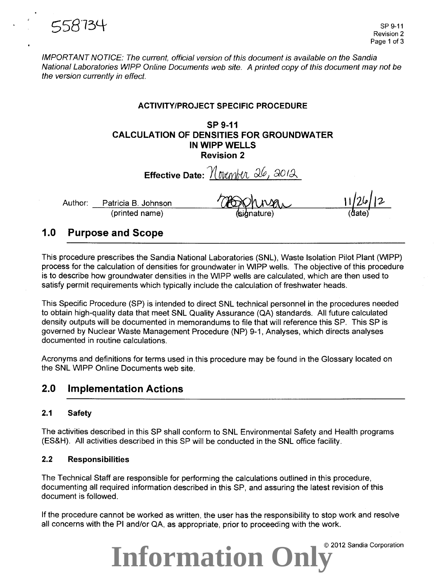

IMPORTANT NOTICE: The current, official version of this document is available on the Sandia National Laboratories WIPP Online Documents web site. A printed copy of this document may not be the version currently in effect.

### **ACTIVITY/PROJECT SPECIFIC PROCEDURE**

### **SP 9-11 CALCULATION OF DENSITIES FOR GROUNDWATER IN WIPP WELLS Revision 2**

**Effective Date:**  $M$  over  $M$   $Q$ ,  $Q$   $Q$ ,  $Q$ Author: Patricia B. Johnson (printed name)

### **1.0 Purpose and Scope**

This procedure prescribes the Sandia National Laboratories (SNL), Waste Isolation Pilot Plant (WIPP) process for the calculation of densities for groundwater in WIPP wells. The objective of this procedure is to describe how groundwater densities in the WIPP wells are calculated, which are then used to satisfy permit requirements which typically include the calculation of freshwater heads.

This Specific Procedure (SP) is intended to direct SNL technical personnel in the procedures needed to obtain high-quality data that meet SNL Quality Assurance (QA) standards. All future calculated density outputs will be documented in memorandums to file that will reference this SP. This SP is governed by Nuclear Waste Management Procedure (NP) 9-1, Analyses, which directs analyses documented in routine calculations.

Acronyms and definitions for terms used in this procedure may be found in the Glossary located on the SNL WIPP Online Documents web site.

### **2.0 Implementation Actions**

### **2.1 Safety**

The activities described in this SP shall conform to SNL Environmental Safety and Health programs (ES&H). All activities described in this SP will be conducted in the SNL office facility.

### **2.2 Responsibilities**

The Technical Staff are responsible for performing the calculations outlined in this procedure, documenting all required information described in this SP, and assuring the latest revision of this document is followed.

If the procedure cannot be worked as written, the user has the responsibility to stop work and resolve all concerns with the PI and/or QA, as appropriate, prior to proceeding with the work.



© 2012 Sandia Corporation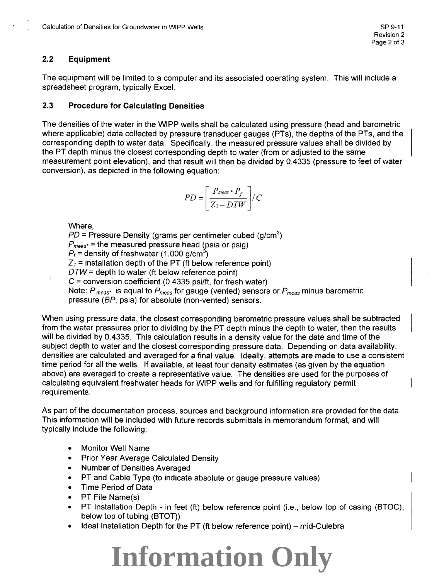### 2.2 **Equipment**

The equipment will be limited to a computer and its associated operating system. This will include a spreadsheet program, typically Excel.

### 2.3 **Procedure for Calculating Densities**

The densities of the water in the WIPP wells shall be calculated using pressure (head and barometric where applicable) data collected by pressure transducer gauges (PTs), the depths of the PTs, and the corresponding depth to water data. Specifically, the measured pressure values shall be divided by the PT depth minus the closest corresponding depth to water (from or adjusted to the same measurement point elevation), and that result will then be divided by 0.4335 (pressure to feet of water conversion), as depicted in the following equation:

$$
PD = \left[\frac{P_{meas} \cdot P_f}{Z_1 - DTW}\right] / C
$$

Where,

 $PD$  = Pressure Density (grams per centimeter cubed (g/cm $^3)$  $P_{\text{meas}}$  = the measured pressure head (psia or psig)  $P_f$  = density of freshwater (1.000 g/cm<sup>3</sup>)  $Z_1$  = installation depth of the PT (ft below reference point)  $DTW =$  depth to water (ft below reference point)  $C =$  conversion coefficient (0.4335 psi/ft, for fresh water) Note: *P* meas· is equal to *Pmeas* for gauge (vented) sensors or *Pmeas* minus barometric pressure (BP, psia) for absolute (non-vented) sensors.

When using pressure data, the closest corresponding barometric pressure values shall be subtracted from the water pressures prior to dividing by the PT depth minus the depth to water, then the results will be divided by 0.4335. This calculation results in a density value for the date and time of the subject depth to water and the closest corresponding pressure data. Depending on data availability, densities are calculated and averaged for a final value. Ideally, attempts are made to use a consistent time period for all the wells. If available, at least four density estimates (as given by the equation above) are averaged to create a representative value. The densities are used for the purposes of calculating equivalent freshwater heads for WIPP wells and for fulfilling regulatory permit requirements.

As part of the documentation process, sources and background information are provided for the data. This information will be included with future records submittals in memorandum format, and will typically include the following:

- Monitor Well Name
- Prior Year Average Calculated Density
- Number of Densities Averaged
- PT and Cable Type (to indicate absolute or gauge pressure values)
- Time Period of Data
- PT File Name(s)
- PT Installation Depth in feet (ft) below reference point (i.e., below top of casing (BTOC), below top of tubing (BTOT))
- Ideal Installation Depth for the PT (ft below reference point) mid-Culebra

## **Information Only**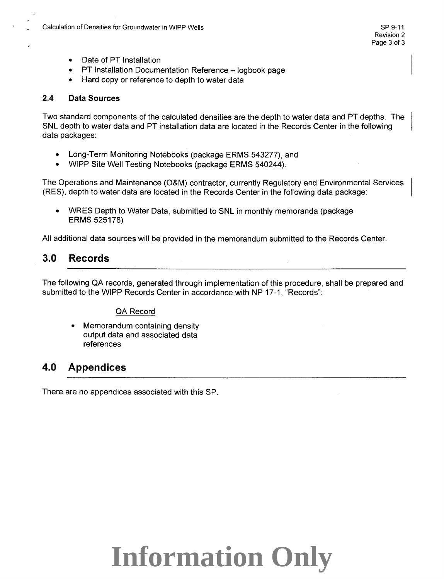- Date of PT Installation
- **PT Installation Documentation Reference logbook page**
- Hard copy or reference to depth to water data

### **2.4 Data Sources**

Two standard components of the calculated densities are the depth to water data and PT depths. The SNL depth to water data and PT installation data are located in the Records Center in the following data packages:

- Long-Term Monitoring Notebooks (package ERMS 543277), and
- WIPP Site Well Testing Notebooks (package ERMS 540244).

The Operations and Maintenance (O&M) contractor, currently Regulatory and Environmental Services (RES), depth to water data are located in the Records Center in the following data package:

• WRES Depth to Water Data, submitted to SNL in monthly memoranda (package ERMS 525178)

All additional data sources will be provided in the memorandum submitted to the Records Center.

## **3.0 Records**

The following QA records, generated through implementation of this procedure, shall be prepared and submitted to the WIPP Records Center in accordance with NP 17-1, "Records":

### QA Record

• Memorandum containing density output data and associated data references

## **4.0 Appendices**

There are no appendices associated with this SP.

# **Information Only**